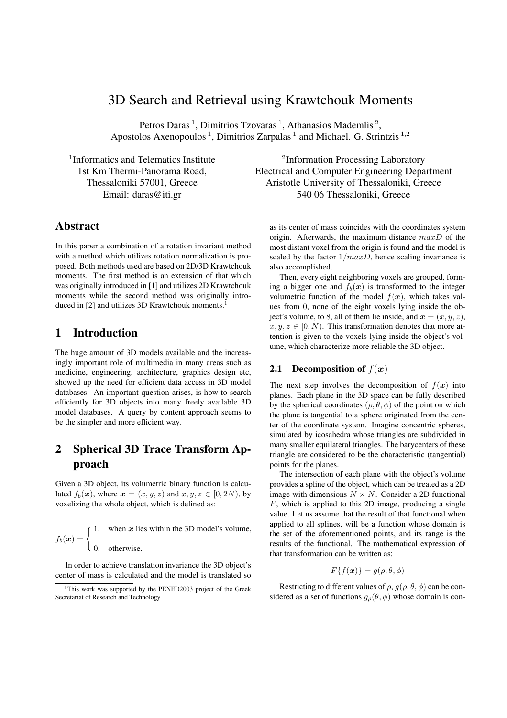# 3D Search and Retrieval using Krawtchouk Moments

Petros Daras<sup>1</sup>, Dimitrios Tzovaras<sup>1</sup>, Athanasios Mademlis<sup>2</sup>, Apostolos Axenopoulos<sup>1</sup>, Dimitrios Zarpalas<sup>1</sup> and Michael. G. Strintzis<sup>1,2</sup>

 $1$ Informatics and Telematics Institute  $2$ Information Processing Laboratory 1st Km Thermi-Panorama Road, Electrical and Computer Engineering Department Thessaloniki 57001, Greece Aristotle University of Thessaloniki, Greece Email: daras@iti.gr 540 06 Thessaloniki, Greece

## Abstract

In this paper a combination of a rotation invariant method with a method which utilizes rotation normalization is proposed. Both methods used are based on 2D/3D Krawtchouk moments. The first method is an extension of that which was originally introduced in [1] and utilizes 2D Krawtchouk moments while the second method was originally introduced in [2] and utilizes 3D Krawtchouk moments.<sup>1</sup>

## 1 Introduction

The huge amount of 3D models available and the increasingly important role of multimedia in many areas such as medicine, engineering, architecture, graphics design etc, showed up the need for efficient data access in 3D model databases. An important question arises, is how to search efficiently for 3D objects into many freely available 3D model databases. A query by content approach seems to be the simpler and more efficient way.

## 2 Spherical 3D Trace Transform Approach

Given a 3D object, its volumetric binary function is calculated  $f_b(x)$ , where  $x = (x, y, z)$  and  $x, y, z \in [0, 2N)$ , by voxelizing the whole object, which is defined as:

$$
f_b(x) = \begin{cases} 1, & \text{when } x \text{ lies within the 3D model's volume,} \\ 0, & \text{otherwise.} \end{cases}
$$

In order to achieve translation invariance the 3D object's center of mass is calculated and the model is translated so as its center of mass coincides with the coordinates system origin. Afterwards, the maximum distance  $maxD$  of the most distant voxel from the origin is found and the model is scaled by the factor  $1/maxD$ , hence scaling invariance is also accomplished.

Then, every eight neighboring voxels are grouped, forming a bigger one and  $f_h(x)$  is transformed to the integer volumetric function of the model  $f(x)$ , which takes values from 0, none of the eight voxels lying inside the object's volume, to 8, all of them lie inside, and  $x = (x, y, z)$ ,  $x, y, z \in [0, N)$ . This transformation denotes that more attention is given to the voxels lying inside the object's volume, which characterize more reliable the 3D object.

### **2.1** Decomposition of  $f(x)$

The next step involves the decomposition of  $f(x)$  into planes. Each plane in the 3D space can be fully described by the spherical coordinates ( $\rho$ ,  $\theta$ ,  $\phi$ ) of the point on which the plane is tangential to a sphere originated from the center of the coordinate system. Imagine concentric spheres, simulated by icosahedra whose triangles are subdivided in many smaller equilateral triangles. The barycenters of these triangle are considered to be the characteristic (tangential) points for the planes.

The intersection of each plane with the object's volume provides a spline of the object, which can be treated as a 2D image with dimensions  $N \times N$ . Consider a 2D functional  $F$ , which is applied to this 2D image, producing a single value. Let us assume that the result of that functional when applied to all splines, will be a function whose domain is the set of the aforementioned points, and its range is the results of the functional. The mathematical expression of that transformation can be written as:

$$
F\{f(\boldsymbol{x})\}=g(\rho,\theta,\phi)
$$

Restricting to different values of  $\rho$ ,  $g(\rho, \theta, \phi)$  can be considered as a set of functions  $g_{\rho}(\theta, \phi)$  whose domain is con-

<sup>&</sup>lt;sup>1</sup>This work was supported by the PENED2003 project of the Greek Secretariat of Research and Technology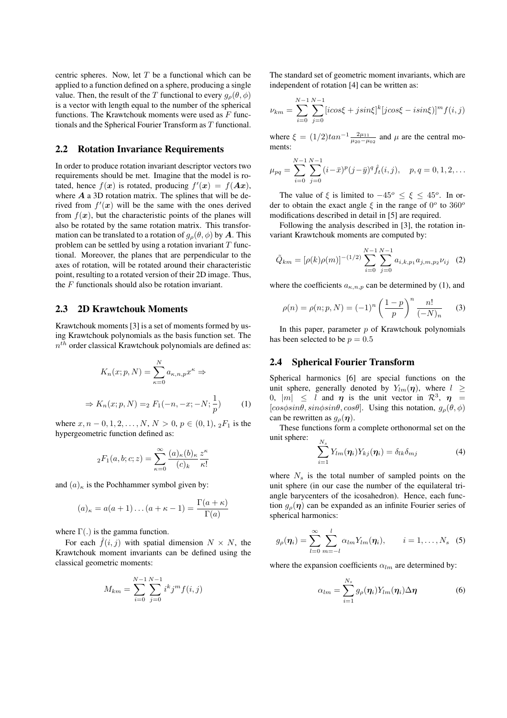centric spheres. Now, let  $T$  be a functional which can be applied to a function defined on a sphere, producing a single value. Then, the result of the T functional to every  $g_{\rho}(\theta, \phi)$ is a vector with length equal to the number of the spherical functions. The Krawtchouk moments were used as  $F$  functionals and the Spherical Fourier Transform as T functional.

#### 2.2 Rotation Invariance Requirements

In order to produce rotation invariant descriptor vectors two requirements should be met. Imagine that the model is rotated, hence  $f(x)$  is rotated, producing  $f'(x) = f(Ax)$ , where  $A$  a 3D rotation matrix. The splines that will be derived from  $f'(x)$  will be the same with the ones derived from  $f(x)$ , but the characteristic points of the planes will also be rotated by the same rotation matrix. This transformation can be translated to a rotation of  $g_{\rho}(\theta, \phi)$  by A. This problem can be settled by using a rotation invariant  $T$  functional. Moreover, the planes that are perpendicular to the axes of rotation, will be rotated around their characteristic point, resulting to a rotated version of their 2D image. Thus, the F functionals should also be rotation invariant.

#### 2.3 2D Krawtchouk Moments

Krawtchouk moments [3] is a set of moments formed by using Krawtchouk polynomials as the basis function set. The  $n<sup>th</sup>$  order classical Krawtchouk polynomials are defined as:

$$
K_n(x; p, N) = \sum_{\kappa=0}^{N} a_{\kappa, n, p} x^{\kappa} \Rightarrow
$$
  

$$
\Rightarrow K_n(x; p, N) =_2 F_1(-n, -x; -N; \frac{1}{p})
$$
 (1)

where  $x, n - 0, 1, 2, ..., N, N > 0, p \in (0, 1), 2F_1$  is the hypergeometric function defined as:

$$
{}_2F_1(a,b;c;z) = \sum_{\kappa=0}^{\infty} \frac{(a)_{\kappa}(b)_{\kappa}}{(c)_{k}} \frac{z^{\kappa}}{\kappa!}
$$

and  $(a)_{\kappa}$  is the Pochhammer symbol given by:

$$
(a)_{\kappa} = a(a+1)\dots(a+\kappa-1) = \frac{\Gamma(a+\kappa)}{\Gamma(a)}
$$

where  $\Gamma(.)$  is the gamma function.

For each  $\hat{f}(i, j)$  with spatial dimension  $N \times N$ , the Krawtchouk moment invariants can be defined using the classical geometric moments:

$$
M_{km} = \sum_{i=0}^{N-1} \sum_{j=0}^{N-1} i^k j^m f(i, j)
$$

The standard set of geometric moment invariants, which are independent of rotation [4] can be written as:

$$
\nu_{km} = \sum_{i=0}^{N-1} \sum_{j=0}^{N-1} [icos\xi + j sin\xi]^k [j cos\xi - i sin\xi)]^m f(i, j)
$$

where  $\xi = (1/2) \tan^{-1} \frac{2\mu_{11}}{\mu_{20} - \mu_{02}}$  and  $\mu$  are the central moments:

$$
\mu_{pq} = \sum_{i=0}^{N-1} \sum_{j=0}^{N-1} (i - \bar{x})^p (j - \bar{y})^q \hat{f}_t(i, j), \quad p, q = 0, 1, 2, \dots
$$

The value of  $\xi$  is limited to  $-45^{\circ} \le \xi \le 45^{\circ}$ . In order to obtain the exact angle  $\xi$  in the range of  $0^{\circ}$  to  $360^{\circ}$ modifications described in detail in [5] are required.

Following the analysis described in [3], the rotation invariant Krawtchouk moments are computed by:

$$
\tilde{Q}_{km} = [\rho(k)\rho(m)]^{-(1/2)} \sum_{i=0}^{N-1} \sum_{j=0}^{N-1} a_{i,k,p_1} a_{j,m,p_2} \nu_{ij} \quad (2)
$$

where the coefficients  $a_{\kappa,n,p}$  can be determined by (1), and

$$
\rho(n) = \rho(n; p, N) = (-1)^n \left(\frac{1-p}{p}\right)^n \frac{n!}{(-N)_n} \tag{3}
$$

In this paper, parameter  $p$  of Krawtchouk polynomials has been selected to be  $p = 0.5$ 

#### 2.4 Spherical Fourier Transform

Spherical harmonics [6] are special functions on the unit sphere, generally denoted by  $Y_{lm}(\eta)$ , where  $l \geq$ 0,  $|m| \leq l$  and  $\eta$  is the unit vector in  $\mathcal{R}^3$ ,  $\eta$  = [ $cos\phi sin\theta, sin\phi sin\theta, cos\theta$ ]. Using this notation,  $g_{\rho}(\theta, \phi)$ can be rewritten as  $g_{\rho}(\eta)$ .

These functions form a complete orthonormal set on the unit sphere:

$$
\sum_{i=1}^{N_s} Y_{lm}(\eta_i) Y_{kj}(\eta_i) = \delta_{lk} \delta_{mj}
$$
 (4)

where  $N_s$  is the total number of sampled points on the unit sphere (in our case the number of the equilateral triangle barycenters of the icosahedron). Hence, each function  $g_{\rho}(\eta)$  can be expanded as an infinite Fourier series of spherical harmonics:

$$
g_{\rho}(\boldsymbol{\eta}_i) = \sum_{l=0}^{\infty} \sum_{m=-l}^{l} \alpha_{lm} Y_{lm}(\boldsymbol{\eta}_i), \qquad i = 1, \ldots, N_s \quad (5)
$$

where the expansion coefficients  $\alpha_{lm}$  are determined by:

$$
\alpha_{lm} = \sum_{i=1}^{N_s} g_{\rho}(\eta_i) Y_{lm}(\eta_i) \Delta \eta \tag{6}
$$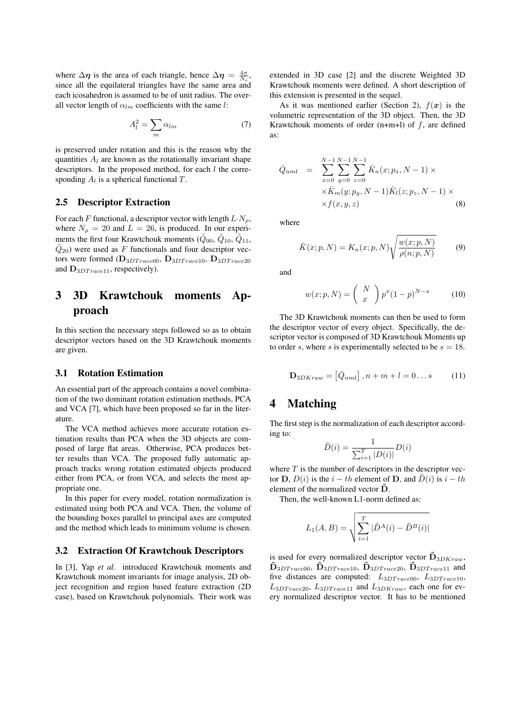where  $\Delta \eta$  is the area of each triangle, hence  $\Delta \eta = \frac{4\pi}{N_s}$ , since all the equilateral triangles have the same area and each icosahedron is assumed to be of unit radius. The overall vector length of  $\alpha_{lm}$  coefficients with the same l:

$$
A_l^2 = \sum_m \alpha_{lm} \tag{7}
$$

is preserved under rotation and this is the reason why the quantities  $A_l$  are known as the rotationally invariant shape descriptors. In the proposed method, for each  $l$  the corresponding  $A_l$  is a spherical functional  $T$ .

#### 2.5 Descriptor Extraction

For each F functional, a descriptor vector with length  $L \cdot N_{\rho}$ , where  $N_{\rho} = 20$  and  $L = 26$ , is produced. In our experiments the first four Krawtchouk moments ( $\ddot{Q}_{00}$ ,  $\ddot{Q}_{10}$ ,  $\ddot{Q}_{11}$ ,  $\tilde{Q}_{20}$ ) were used as F functionals and four descriptor vectors were formed  $(D_{3DTrace00}, D_{3DTrace10}, D_{3DTrace20})$ and  $\mathbf{D}_{3DTrac{e11}}$ , respectively).

## 3 3D Krawtchouk moments Approach

In this section the necessary steps followed so as to obtain descriptor vectors based on the 3D Krawtchouk moments are given.

#### 3.1 Rotation Estimation

An essential part of the approach contains a novel combination of the two dominant rotation estimation methods, PCA and VCA [7], which have been proposed so far in the literature.

The VCA method achieves more accurate rotation estimation results than PCA when the 3D objects are composed of large flat areas. Otherwise, PCA produces better results than VCA. The proposed fully automatic approach tracks wrong rotation estimated objects produced either from PCA, or from VCA, and selects the most appropriate one.

In this paper for every model, rotation normalization is estimated using both PCA and VCA. Then, the volume of the bounding boxes parallel to principal axes are computed and the method which leads to minimum volume is chosen.

#### 3.2 Extraction Of Krawtchouk Descriptors

In [3], Yap *et al.* introduced Krawtchouk moments and Krawtchouk moment invariants for image analysis, 2D object recognition and region based feature extraction (2D case), based on Krawtchouk polynomials. Their work was extended in 3D case [2] and the discrete Weighted 3D Krawtchouk moments were defined. A short description of this extension is presented in the sequel.

As it was mentioned earlier (Section 2),  $f(x)$  is the volumetric representation of the 3D object. Then, the 3D Krawtchouk moments of order  $(n+m+1)$  of  $f$ , are defined as:

$$
\bar{Q}_{nml} = \sum_{x=0}^{N-1} \sum_{y=0}^{N-1} \sum_{z=0}^{N-1} \bar{K}_n(x; p_x, N-1) \times \times \bar{K}_m(y; p_y, N-1) \bar{K}_l(z; p_z, N-1) \times \times f(x, y, z)
$$
\n(8)

where

$$
\bar{K}(x;p,N) = K_n(x;p,N)\sqrt{\frac{w(x;p,N)}{\rho(n;p,N)}}
$$
(9)

and

$$
w(x; p, N) = {N \choose x} p^x (1-p)^{N-x}
$$
 (10)

The 3D Krawtchouk moments can then be used to form the descriptor vector of every object. Specifically, the descriptor vector is composed of 3D Krawtchouk Moments up to order s, where s is experimentally selected to be  $s = 18$ .

$$
\mathbf{D}_{3DKraw} = \left[ \bar{Q}_{nml} \right], n + m + l = 0...s \quad (11)
$$

## 4 Matching

The first step is the normalization of each descriptor according to:

$$
\tilde{D}(i) = \frac{1}{\sum_{i=1}^{T} |D(i)|} D(i)
$$

where  $T$  is the number of descriptors in the descriptor vector **D**,  $D(i)$  is the  $i - th$  element of **D**, and  $\tilde{D}(i)$  is  $i - th$ element of the normalized vector  $\tilde{\mathbf{D}}$ .

Then, the well-known L1-norm defined as:

$$
L_1(A, B) = \sqrt{\sum_{i=1}^{T} |\tilde{D}^A(i) - \tilde{D}^B(i)|}
$$

is used for every normalized descriptor vector  $\tilde{\mathbf{D}}_{3DKraw}$ ,  $\ddot{\mathbf{D}}_{3DT race00}, \ddot{\mathbf{D}}_{3DT race10}, \ddot{\mathbf{D}}_{3DT race20}, \ddot{\mathbf{D}}_{3DT race11}$  and five distances are computed:  $L_{3DT race00}$ ,  $L_{3DT race10}$ ,  $L_{3DTrace20}$ ,  $L_{3DTrace11}$  and  $L_{3DKraw}$ , each one for every normalized descriptor vector. It has to be mentioned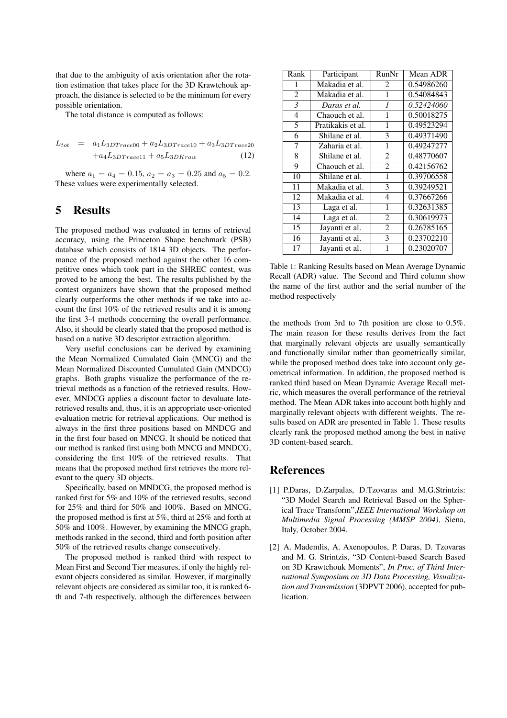that due to the ambiguity of axis orientation after the rotation estimation that takes place for the 3D Krawtchouk approach, the distance is selected to be the minimum for every possible orientation.

The total distance is computed as follows:

$$
L_{tot} = a_1 L_{3DTrace00} + a_2 L_{3DTrace10} + a_3 L_{3DTrace20}
$$
  
+ $a_4 L_{3DTrace11} + a_5 L_{3DKraw}$  (12)

where  $a_1 = a_4 = 0.15$ ,  $a_2 = a_3 = 0.25$  and  $a_5 = 0.2$ . These values were experimentally selected.

### 5 Results

The proposed method was evaluated in terms of retrieval accuracy, using the Princeton Shape benchmark (PSB) database which consists of 1814 3D objects. The performance of the proposed method against the other 16 competitive ones which took part in the SHREC contest, was proved to be among the best. The results published by the contest organizers have shown that the proposed method clearly outperforms the other methods if we take into account the first 10% of the retrieved results and it is among the first 3-4 methods concerning the overall performance. Also, it should be clearly stated that the proposed method is based on a native 3D descriptor extraction algorithm.

Very useful conclusions can be derived by examining the Mean Normalized Cumulated Gain (MNCG) and the Mean Normalized Discounted Cumulated Gain (MNDCG) graphs. Both graphs visualize the performance of the retrieval methods as a function of the retrieved results. However, MNDCG applies a discount factor to devaluate lateretrieved results and, thus, it is an appropriate user-oriented evaluation metric for retrieval applications. Our method is always in the first three positions based on MNDCG and in the first four based on MNCG. It should be noticed that our method is ranked first using both MNCG and MNDCG, considering the first 10% of the retrieved results. That means that the proposed method first retrieves the more relevant to the query 3D objects.

Specifically, based on MNDCG, the proposed method is ranked first for 5% and 10% of the retrieved results, second for 25% and third for 50% and 100%. Based on MNCG, the proposed method is first at 5%, third at 25% and forth at 50% and 100%. However, by examining the MNCG graph, methods ranked in the second, third and forth position after 50% of the retrieved results change consecutively.

The proposed method is ranked third with respect to Mean First and Second Tier measures, if only the highly relevant objects considered as similar. However, if marginally relevant objects are considered as similar too, it is ranked 6 th and 7-th respectively, although the differences between

| Rank                     | Participant       | RunNr          | Mean ADR   |
|--------------------------|-------------------|----------------|------------|
| 1                        | Makadia et al.    | 2              | 0.54986260 |
| $\overline{c}$           | Makadia et al.    | 1              | 0.54084843 |
| $\overline{\mathcal{E}}$ | Daras et al.      | 1              | 0.52424060 |
| $\overline{4}$           | Chaouch et al.    | 1              | 0.50018275 |
| 5                        | Pratikakis et al. | 1              | 0.49523294 |
| 6                        | Shilane et al.    | 3              | 0.49371490 |
| 7                        | Zaharia et al.    | $\mathbf{1}$   | 0.49247277 |
| 8                        | Shilane et al.    | $\overline{c}$ | 0.48770607 |
| 9                        | Chaouch et al.    | $\overline{c}$ | 0.42156762 |
| 10                       | Shilane et al.    | 1              | 0.39706558 |
| 11                       | Makadia et al.    | 3              | 0.39249521 |
| 12                       | Makadia et al.    | 4              | 0.37667266 |
| 13                       | Laga et al.       | 1              | 0.32631385 |
| 14                       | Laga et al.       | $\overline{c}$ | 0.30619973 |
| 15                       | Jayanti et al.    | $\overline{c}$ | 0.26785165 |
| 16                       | Jayanti et al.    | 3              | 0.23702210 |
| 17                       | Jayanti et al.    | 1              | 0.23020707 |

Table 1: Ranking Results based on Mean Average Dynamic Recall (ADR) value. The Second and Third column show the name of the first author and the serial number of the method respectively

the methods from 3rd to 7th position are close to 0.5%. The main reason for these results derives from the fact that marginally relevant objects are usually semantically and functionally similar rather than geometrically similar, while the proposed method does take into account only geometrical information. In addition, the proposed method is ranked third based on Mean Dynamic Average Recall metric, which measures the overall performance of the retrieval method. The Mean ADR takes into account both highly and marginally relevant objects with different weights. The results based on ADR are presented in Table 1. These results clearly rank the proposed method among the best in native 3D content-based search.

### References

- [1] P.Daras, D.Zarpalas, D.Tzovaras and M.G.Strintzis: "3D Model Search and Retrieval Based on the Spherical Trace Transform",*IEEE International Workshop on Multimedia Signal Processing (MMSP 2004)*, Siena, Italy, October 2004.
- [2] A. Mademlis, A. Axenopoulos, P. Daras, D. Tzovaras and M. G. Strintzis, "3D Content-based Search Based on 3D Krawtchouk Moments", *In Proc. of Third International Symposium on 3D Data Processing, Visualization and Transmission* (3DPVT 2006), accepted for publication.